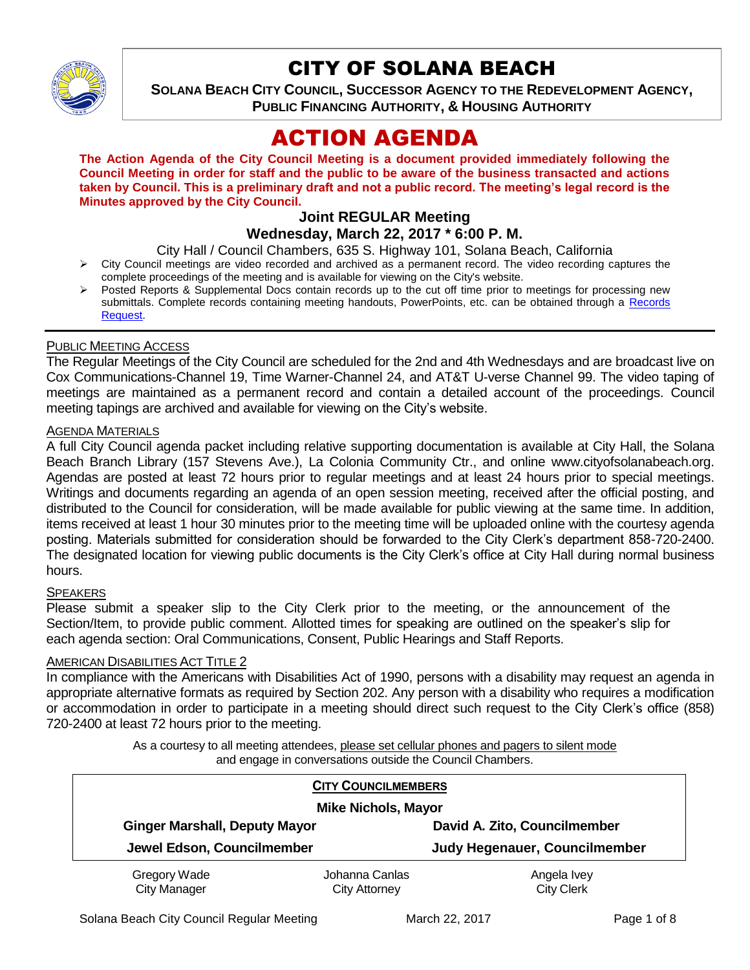

# CITY OF SOLANA BEACH

**SOLANA BEACH CITY COUNCIL, SUCCESSOR AGENCY TO THE REDEVELOPMENT AGENCY, PUBLIC FINANCING AUTHORITY, & HOUSING AUTHORITY** 

# ACTION AGENDA

**The Action Agenda of the City Council Meeting is a document provided immediately following the Council Meeting in order for staff and the public to be aware of the business transacted and actions taken by Council. This is a preliminary draft and not a public record. The meeting's legal record is the Minutes approved by the City Council.**

## **Joint REGULAR Meeting**

**Wednesday, March 22, 2017 \* 6:00 P. M.**

City Hall / Council Chambers, 635 S. Highway 101, Solana Beach, California

- $\triangleright$  City Council meetings are video recorded and archived as a permanent record. The video recording captures the complete proceedings of the meeting and is available for viewing on the City's website.
- Posted Reports & Supplemental Docs contain records up to the cut off time prior to meetings for processing new submittals. Complete records containing meeting handouts, PowerPoints, etc. can be obtained through a Records [Request.](http://www.ci.solana-beach.ca.us/index.asp?SEC=F5D45D10-70CE-4291-A27C-7BD633FC6742&Type=B_BASIC)

## PUBLIC MEETING ACCESS

The Regular Meetings of the City Council are scheduled for the 2nd and 4th Wednesdays and are broadcast live on Cox Communications-Channel 19, Time Warner-Channel 24, and AT&T U-verse Channel 99. The video taping of meetings are maintained as a permanent record and contain a detailed account of the proceedings. Council meeting tapings are archived and available for viewing on the City's website.

### AGENDA MATERIALS

A full City Council agenda packet including relative supporting documentation is available at City Hall, the Solana Beach Branch Library (157 Stevens Ave.), La Colonia Community Ctr., and online www.cityofsolanabeach.org. Agendas are posted at least 72 hours prior to regular meetings and at least 24 hours prior to special meetings. Writings and documents regarding an agenda of an open session meeting, received after the official posting, and distributed to the Council for consideration, will be made available for public viewing at the same time. In addition, items received at least 1 hour 30 minutes prior to the meeting time will be uploaded online with the courtesy agenda posting. Materials submitted for consideration should be forwarded to the City Clerk's department 858-720-2400. The designated location for viewing public documents is the City Clerk's office at City Hall during normal business hours.

### **SPEAKERS**

Please submit a speaker slip to the City Clerk prior to the meeting, or the announcement of the Section/Item, to provide public comment. Allotted times for speaking are outlined on the speaker's slip for each agenda section: Oral Communications, Consent, Public Hearings and Staff Reports.

### AMERICAN DISABILITIES ACT TITLE 2

In compliance with the Americans with Disabilities Act of 1990, persons with a disability may request an agenda in appropriate alternative formats as required by Section 202. Any person with a disability who requires a modification or accommodation in order to participate in a meeting should direct such request to the City Clerk's office (858) 720-2400 at least 72 hours prior to the meeting.

> As a courtesy to all meeting attendees, please set cellular phones and pagers to silent mode and engage in conversations outside the Council Chambers.

| <b>CITY COUNCILMEMBERS</b><br><b>Mike Nichols, Mayor</b> |                                        |                                      |
|----------------------------------------------------------|----------------------------------------|--------------------------------------|
| <b>Ginger Marshall, Deputy Mayor</b>                     |                                        | David A. Zito, Councilmember         |
| Jewel Edson, Councilmember                               |                                        | <b>Judy Hegenauer, Councilmember</b> |
| Gregory Wade<br><b>City Manager</b>                      | Johanna Canlas<br><b>City Attorney</b> | Angela Ivey<br><b>City Clerk</b>     |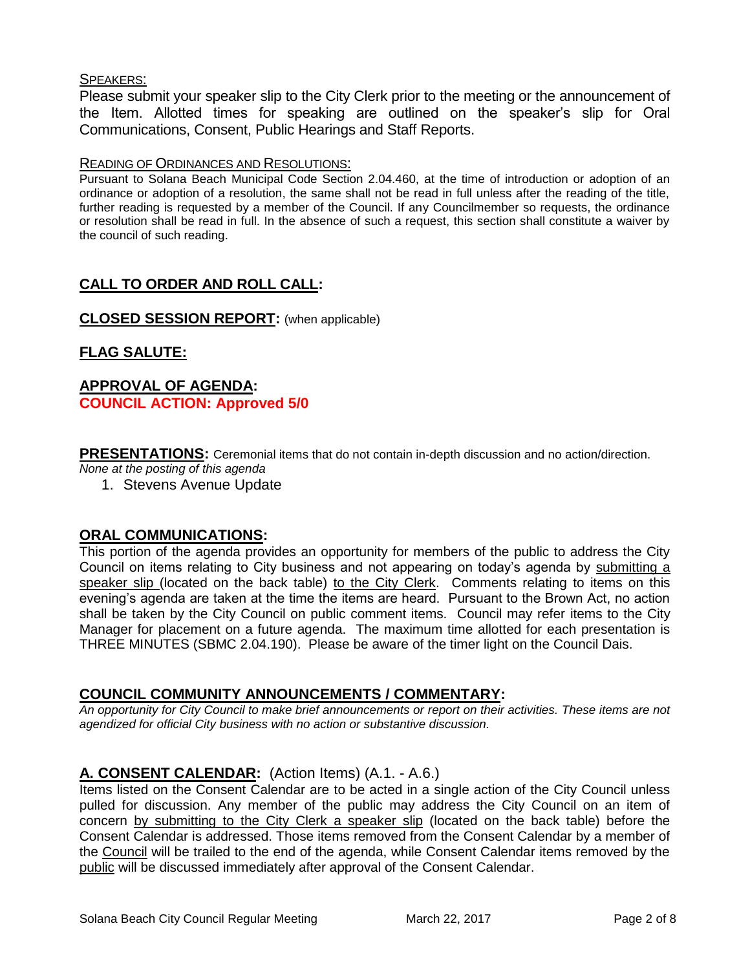## SPEAKERS:

Please submit your speaker slip to the City Clerk prior to the meeting or the announcement of the Item. Allotted times for speaking are outlined on the speaker's slip for Oral Communications, Consent, Public Hearings and Staff Reports.

#### READING OF ORDINANCES AND RESOLUTIONS:

Pursuant to Solana Beach Municipal Code Section 2.04.460, at the time of introduction or adoption of an ordinance or adoption of a resolution, the same shall not be read in full unless after the reading of the title, further reading is requested by a member of the Council. If any Councilmember so requests, the ordinance or resolution shall be read in full. In the absence of such a request, this section shall constitute a waiver by the council of such reading.

## **CALL TO ORDER AND ROLL CALL:**

## **CLOSED SESSION REPORT:** (when applicable)

## **FLAG SALUTE:**

## **APPROVAL OF AGENDA: COUNCIL ACTION: Approved 5/0**

**PRESENTATIONS:** Ceremonial items that do not contain in-depth discussion and no action/direction. *None at the posting of this agenda*

1. Stevens Avenue Update

## **ORAL COMMUNICATIONS:**

This portion of the agenda provides an opportunity for members of the public to address the City Council on items relating to City business and not appearing on today's agenda by submitting a speaker slip (located on the back table) to the City Clerk. Comments relating to items on this evening's agenda are taken at the time the items are heard. Pursuant to the Brown Act, no action shall be taken by the City Council on public comment items. Council may refer items to the City Manager for placement on a future agenda. The maximum time allotted for each presentation is THREE MINUTES (SBMC 2.04.190). Please be aware of the timer light on the Council Dais.

### **COUNCIL COMMUNITY ANNOUNCEMENTS / COMMENTARY:**

*An opportunity for City Council to make brief announcements or report on their activities. These items are not agendized for official City business with no action or substantive discussion.* 

## **A. CONSENT CALENDAR:** (Action Items) (A.1. - A.6.)

Items listed on the Consent Calendar are to be acted in a single action of the City Council unless pulled for discussion. Any member of the public may address the City Council on an item of concern by submitting to the City Clerk a speaker slip (located on the back table) before the Consent Calendar is addressed. Those items removed from the Consent Calendar by a member of the Council will be trailed to the end of the agenda, while Consent Calendar items removed by the public will be discussed immediately after approval of the Consent Calendar.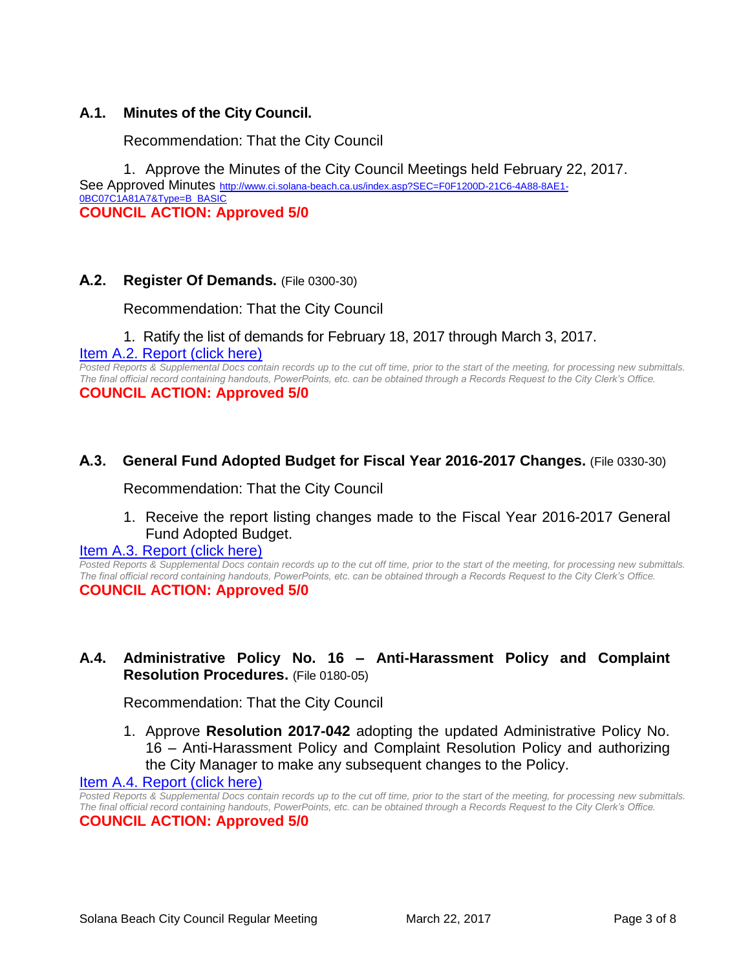## **A.1. Minutes of the City Council.**

Recommendation: That the City Council

1. Approve the Minutes of the City Council Meetings held February 22, 2017. See Approved Minutes [http://www.ci.solana-beach.ca.us/index.asp?SEC=F0F1200D-21C6-4A88-8AE1-](http://www.ci.solana-beach.ca.us/index.asp?SEC=F0F1200D-21C6-4A88-8AE1-0BC07C1A81A7&Type=B_BASIC) [0BC07C1A81A7&Type=B\\_BASIC](http://www.ci.solana-beach.ca.us/index.asp?SEC=F0F1200D-21C6-4A88-8AE1-0BC07C1A81A7&Type=B_BASIC) **COUNCIL ACTION: Approved 5/0**

### **A.2. Register Of Demands.** (File 0300-30)

Recommendation: That the City Council

1. Ratify the list of demands for February 18, 2017 through March 3, 2017.

[Item A.2. Report \(click here\)](https://solanabeach.govoffice3.com/vertical/Sites/%7B840804C2-F869-4904-9AE3-720581350CE7%7D/uploads/Item_A.2._Report_(Click_here)_3-22-17.PDF)

*Posted Reports & Supplemental Docs contain records up to the cut off time, prior to the start of the meeting, for processing new submittals. The final official record containing handouts, PowerPoints, etc. can be obtained through a Records Request to the City Clerk's Office.* **COUNCIL ACTION: Approved 5/0**

### **A.3. General Fund Adopted Budget for Fiscal Year 2016-2017 Changes.** (File 0330-30)

Recommendation: That the City Council

1. Receive the report listing changes made to the Fiscal Year 2016-2017 General Fund Adopted Budget.

#### [Item A.3. Report \(click here\)](https://solanabeach.govoffice3.com/vertical/Sites/%7B840804C2-F869-4904-9AE3-720581350CE7%7D/uploads/Item_A.3._Report_(Click_here)_3-22-17.PDF)

*Posted Reports & Supplemental Docs contain records up to the cut off time, prior to the start of the meeting, for processing new submittals. The final official record containing handouts, PowerPoints, etc. can be obtained through a Records Request to the City Clerk's Office.* **COUNCIL ACTION: Approved 5/0**

## **A.4. Administrative Policy No. 16 – Anti-Harassment Policy and Complaint Resolution Procedures.** (File 0180-05)

Recommendation: That the City Council

1. Approve **Resolution 2017-042** adopting the updated Administrative Policy No. 16 – Anti-Harassment Policy and Complaint Resolution Policy and authorizing the City Manager to make any subsequent changes to the Policy.

#### [Item A.4. Report \(click here\)](https://solanabeach.govoffice3.com/vertical/Sites/%7B840804C2-F869-4904-9AE3-720581350CE7%7D/uploads/Item_A.4._Report_(Click_here)_3-22-17.PDF)

*Posted Reports & Supplemental Docs contain records up to the cut off time, prior to the start of the meeting, for processing new submittals. The final official record containing handouts, PowerPoints, etc. can be obtained through a Records Request to the City Clerk's Office.*

**COUNCIL ACTION: Approved 5/0**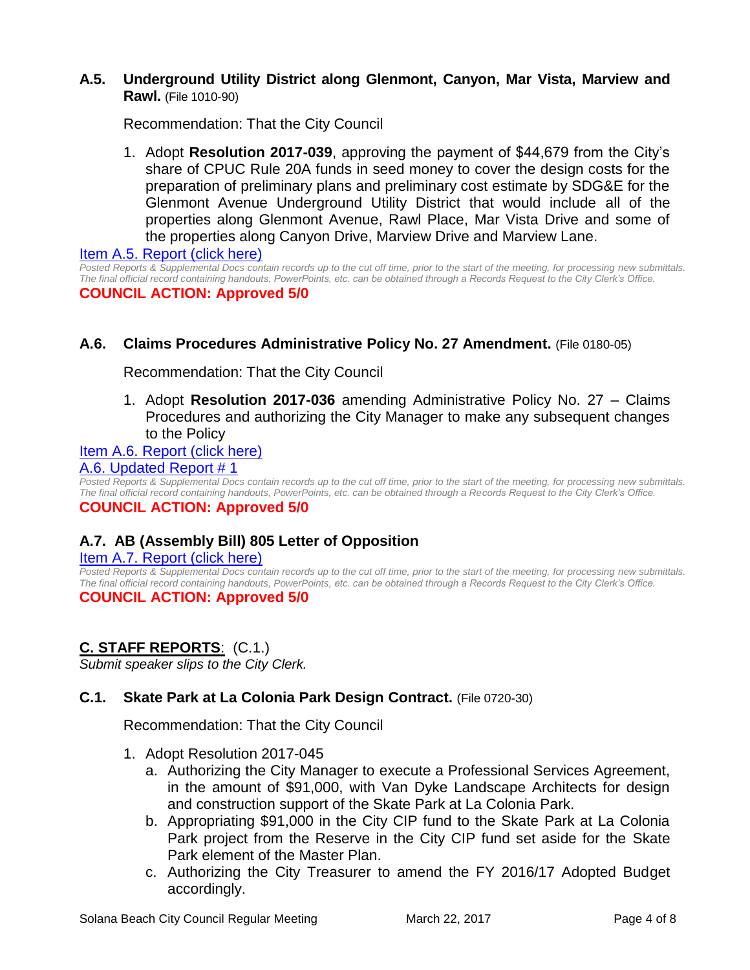## **A.5. Underground Utility District along Glenmont, Canyon, Mar Vista, Marview and Rawl.** (File 1010-90)

Recommendation: That the City Council

1. Adopt **Resolution 2017-039**, approving the payment of \$44,679 from the City's share of CPUC Rule 20A funds in seed money to cover the design costs for the preparation of preliminary plans and preliminary cost estimate by SDG&E for the Glenmont Avenue Underground Utility District that would include all of the properties along Glenmont Avenue, Rawl Place, Mar Vista Drive and some of the properties along Canyon Drive, Marview Drive and Marview Lane.

Item A.5. [Report \(click here\)](https://solanabeach.govoffice3.com/vertical/Sites/%7B840804C2-F869-4904-9AE3-720581350CE7%7D/uploads/Item_A.5._Report_(Click_here)_3-22-17.PDF)

*Posted Reports & Supplemental Docs contain records up to the cut off time, prior to the start of the meeting, for processing new submittals. The final official record containing handouts, PowerPoints, etc. can be obtained through a Records Request to the City Clerk's Office.* **COUNCIL ACTION: Approved 5/0**

## **A.6. Claims Procedures Administrative Policy No. 27 Amendment.** (File 0180-05)

Recommendation: That the City Council

1. Adopt **Resolution 2017-036** amending Administrative Policy No. 27 – Claims Procedures and authorizing the City Manager to make any subsequent changes to the Policy

### [Item A.6. Report \(click here\)](https://solanabeach.govoffice3.com/vertical/Sites/%7B840804C2-F869-4904-9AE3-720581350CE7%7D/uploads/Item_A.6._Report_(Click_here)_3-22-17.PDF)

#### A.6. [Updated Report # 1](https://solanabeach.govoffice3.com/vertical/Sites/%7B840804C2-F869-4904-9AE3-720581350CE7%7D/uploads/A.6._Updated_Report_1_-_3-22-17.pdf)

*Posted Reports & Supplemental Docs contain records up to the cut off time, prior to the start of the meeting, for processing new submittals. The final official record containing handouts, PowerPoints, etc. can be obtained through a Records Request to the City Clerk's Office.*

### **COUNCIL ACTION: Approved 5/0**

## **A.7. AB (Assembly Bill) 805 Letter of Opposition**

#### [Item A.7. Report \(click here\)](https://solanabeach.govoffice3.com/vertical/Sites/%7B840804C2-F869-4904-9AE3-720581350CE7%7D/uploads/Item_A.7._Report_(Click_here)_3-22-17.pdf)

*Posted Reports & Supplemental Docs contain records up to the cut off time, prior to the start of the meeting, for processing new submittals. The final official record containing handouts, PowerPoints, etc. can be obtained through a Records Request to the City Clerk's Office.*

## **COUNCIL ACTION: Approved 5/0**

## **C. STAFF REPORTS**: (C.1.)

*Submit speaker slips to the City Clerk.*

## **C.1. Skate Park at La Colonia Park Design Contract.** (File 0720-30)

Recommendation: That the City Council

- 1. Adopt Resolution 2017-045
	- a. Authorizing the City Manager to execute a Professional Services Agreement, in the amount of \$91,000, with Van Dyke Landscape Architects for design and construction support of the Skate Park at La Colonia Park.
	- b. Appropriating \$91,000 in the City CIP fund to the Skate Park at La Colonia Park project from the Reserve in the City CIP fund set aside for the Skate Park element of the Master Plan.
	- c. Authorizing the City Treasurer to amend the FY 2016/17 Adopted Budget accordingly.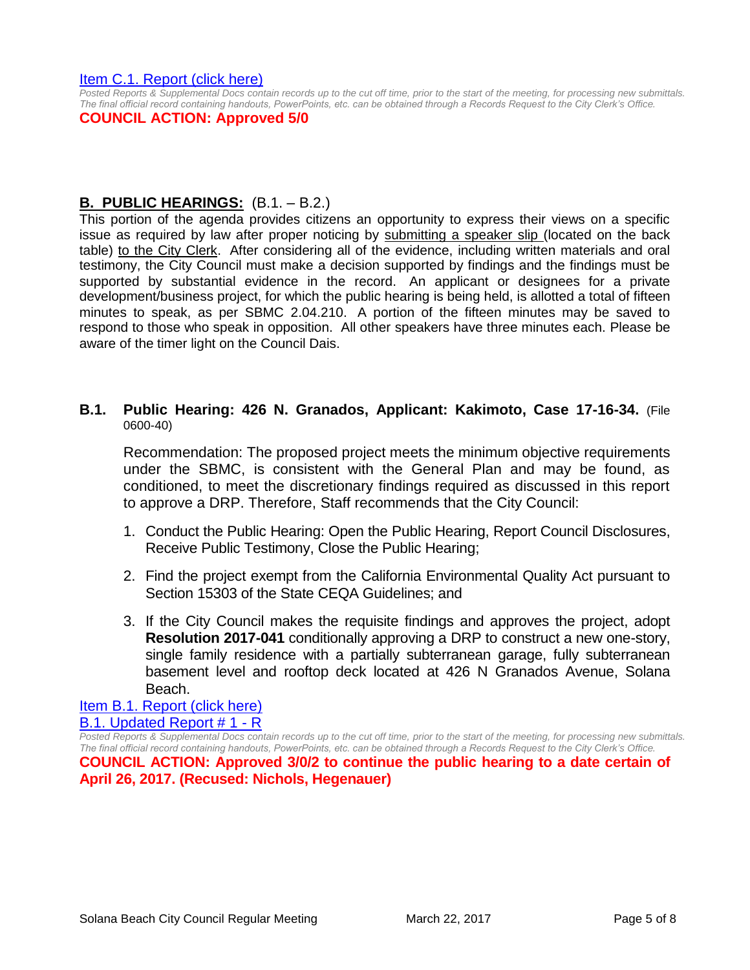#### [Item C.1. Report \(click here\)](https://solanabeach.govoffice3.com/vertical/Sites/%7B840804C2-F869-4904-9AE3-720581350CE7%7D/uploads/Item_C.1._Report_(Click_here)_3-22-17.PDF)

*Posted Reports & Supplemental Docs contain records up to the cut off time, prior to the start of the meeting, for processing new submittals. The final official record containing handouts, PowerPoints, etc. can be obtained through a Records Request to the City Clerk's Office.*

#### **COUNCIL ACTION: Approved 5/0**

## **B. PUBLIC HEARINGS:** (B.1. – B.2.)

This portion of the agenda provides citizens an opportunity to express their views on a specific issue as required by law after proper noticing by submitting a speaker slip (located on the back table) to the City Clerk. After considering all of the evidence, including written materials and oral testimony, the City Council must make a decision supported by findings and the findings must be supported by substantial evidence in the record. An applicant or designees for a private development/business project, for which the public hearing is being held, is allotted a total of fifteen minutes to speak, as per SBMC 2.04.210. A portion of the fifteen minutes may be saved to respond to those who speak in opposition. All other speakers have three minutes each. Please be aware of the timer light on the Council Dais.

#### **B.1. Public Hearing: 426 N. Granados, Applicant: Kakimoto, Case 17-16-34.** (File 0600-40)

Recommendation: The proposed project meets the minimum objective requirements under the SBMC, is consistent with the General Plan and may be found, as conditioned, to meet the discretionary findings required as discussed in this report to approve a DRP. Therefore, Staff recommends that the City Council:

- 1. Conduct the Public Hearing: Open the Public Hearing, Report Council Disclosures, Receive Public Testimony, Close the Public Hearing;
- 2. Find the project exempt from the California Environmental Quality Act pursuant to Section 15303 of the State CEQA Guidelines; and
- 3. If the City Council makes the requisite findings and approves the project, adopt **Resolution 2017-041** conditionally approving a DRP to construct a new one-story, single family residence with a partially subterranean garage, fully subterranean basement level and rooftop deck located at 426 N Granados Avenue, Solana Beach.

[Item B.1. Report \(click here\)](https://solanabeach.govoffice3.com/vertical/Sites/%7B840804C2-F869-4904-9AE3-720581350CE7%7D/uploads/Item_B.1._Report_(Click_here)_3-22-17.PDF) [B.1. Updated Report # 1 -](https://solanabeach.govoffice3.com/vertical/Sites/%7B840804C2-F869-4904-9AE3-720581350CE7%7D/uploads/B.1._Updated_Report__1_-_3-22-17_-__R.pdf) R

*Posted Reports & Supplemental Docs contain records up to the cut off time, prior to the start of the meeting, for processing new submittals. The final official record containing handouts, PowerPoints, etc. can be obtained through a Records Request to the City Clerk's Office.* **COUNCIL ACTION: Approved 3/0/2 to continue the public hearing to a date certain of April 26, 2017. (Recused: Nichols, Hegenauer)**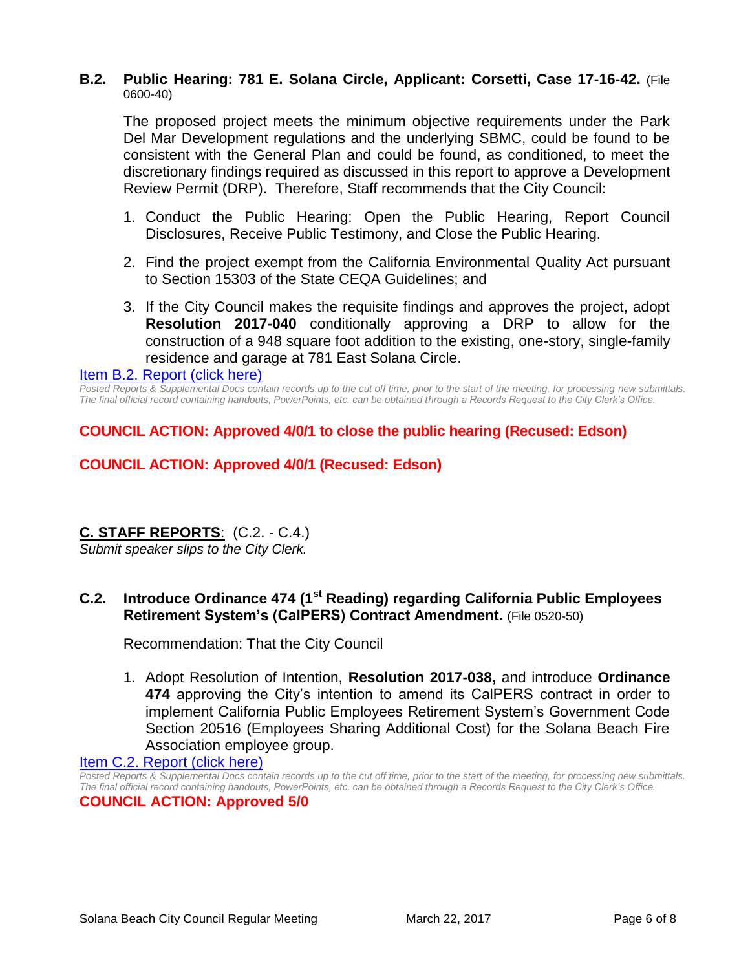### **B.2. Public Hearing: 781 E. Solana Circle, Applicant: Corsetti, Case 17-16-42.** (File 0600-40)

The proposed project meets the minimum objective requirements under the Park Del Mar Development regulations and the underlying SBMC, could be found to be consistent with the General Plan and could be found, as conditioned, to meet the discretionary findings required as discussed in this report to approve a Development Review Permit (DRP). Therefore, Staff recommends that the City Council:

- 1. Conduct the Public Hearing: Open the Public Hearing, Report Council Disclosures, Receive Public Testimony, and Close the Public Hearing.
- 2. Find the project exempt from the California Environmental Quality Act pursuant to Section 15303 of the State CEQA Guidelines; and
- 3. If the City Council makes the requisite findings and approves the project, adopt **Resolution 2017-040** conditionally approving a DRP to allow for the construction of a 948 square foot addition to the existing, one-story, single-family residence and garage at 781 East Solana Circle.

#### [Item B.2. Report \(click here\)](https://solanabeach.govoffice3.com/vertical/Sites/%7B840804C2-F869-4904-9AE3-720581350CE7%7D/uploads/Item_B.2._Report_(Click_here)_3-22-17.pdf)

*Posted Reports & Supplemental Docs contain records up to the cut off time, prior to the start of the meeting, for processing new submittals. The final official record containing handouts, PowerPoints, etc. can be obtained through a Records Request to the City Clerk's Office.*

**COUNCIL ACTION: Approved 4/0/1 to close the public hearing (Recused: Edson)**

## **COUNCIL ACTION: Approved 4/0/1 (Recused: Edson)**

## **C. STAFF REPORTS**: (C.2. - C.4.)

*Submit speaker slips to the City Clerk.*

## **C.2. Introduce Ordinance 474 (1st Reading) regarding California Public Employees Retirement System's (CalPERS) Contract Amendment.** (File 0520-50)

Recommendation: That the City Council

1. Adopt Resolution of Intention, **Resolution 2017-038,** and introduce **Ordinance 474** approving the City's intention to amend its CalPERS contract in order to implement California Public Employees Retirement System's Government Code Section 20516 (Employees Sharing Additional Cost) for the Solana Beach Fire Association employee group.

[Item C.2. Report \(click here\)](https://solanabeach.govoffice3.com/vertical/Sites/%7B840804C2-F869-4904-9AE3-720581350CE7%7D/uploads/Item_C.2._Report_(Click_here)_3-22-17.PDF)

*Posted Reports & Supplemental Docs contain records up to the cut off time, prior to the start of the meeting, for processing new submittals. The final official record containing handouts, PowerPoints, etc. can be obtained through a Records Request to the City Clerk's Office.*

**COUNCIL ACTION: Approved 5/0**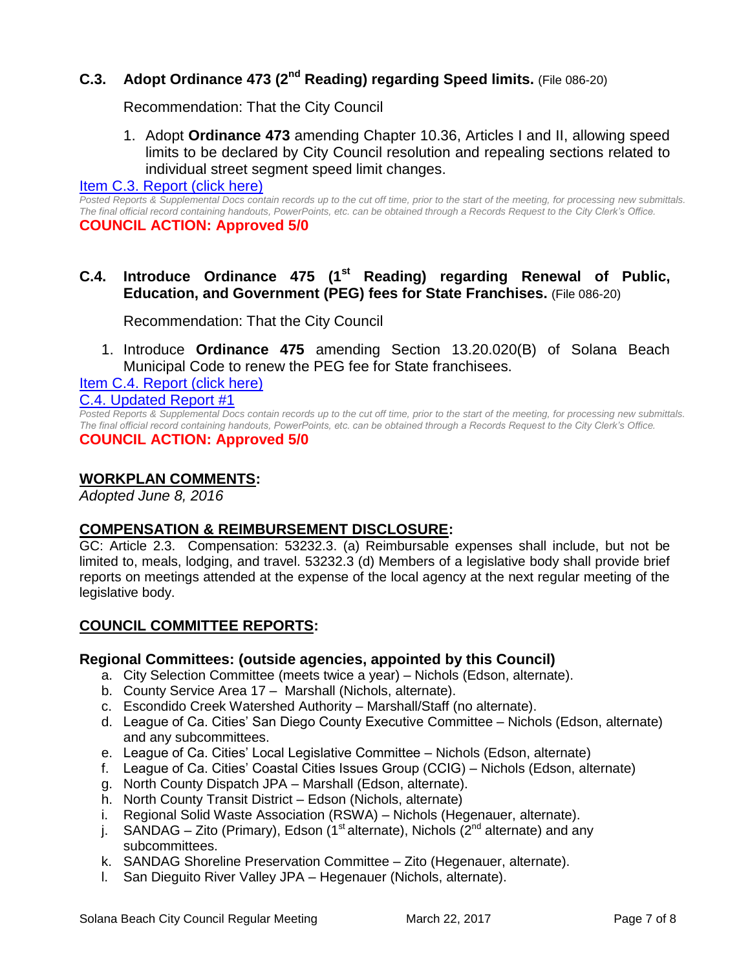## **C.3. Adopt Ordinance 473 (2nd Reading) regarding Speed limits.** (File 086-20)

Recommendation: That the City Council

1. Adopt **Ordinance 473** amending Chapter 10.36, Articles I and II, allowing speed limits to be declared by City Council resolution and repealing sections related to individual street segment speed limit changes.

#### [Item C.3. Report \(click here\)](https://solanabeach.govoffice3.com/vertical/Sites/%7B840804C2-F869-4904-9AE3-720581350CE7%7D/uploads/Item_C.3._Report_(Click_here)_3-22-17.PDF)

*Posted Reports & Supplemental Docs contain records up to the cut off time, prior to the start of the meeting, for processing new submittals. The final official record containing handouts, PowerPoints, etc. can be obtained through a Records Request to the City Clerk's Office.* **COUNCIL ACTION: Approved 5/0**

## **C.4. Introduce Ordinance 475 (1st Reading) regarding Renewal of Public, Education, and Government (PEG) fees for State Franchises.** (File 086-20)

Recommendation: That the City Council

1. Introduce **Ordinance 475** amending Section 13.20.020(B) of Solana Beach Municipal Code to renew the PEG fee for State franchisees.

[Item C.4. Report \(click here\)](https://solanabeach.govoffice3.com/vertical/Sites/%7B840804C2-F869-4904-9AE3-720581350CE7%7D/uploads/Item_C.4._Report_(Click_here)_3-22-17.PDF) [C.4. Updated Report #1](https://solanabeach.govoffice3.com/vertical/Sites/%7B840804C2-F869-4904-9AE3-720581350CE7%7D/uploads/C.4._Updated_Report_1__(3-20-17_1130am).pdf)

*Posted Reports & Supplemental Docs contain records up to the cut off time, prior to the start of the meeting, for processing new submittals. The final official record containing handouts, PowerPoints, etc. can be obtained through a Records Request to the City Clerk's Office.* **COUNCIL ACTION: Approved 5/0**

## **WORKPLAN COMMENTS:**

*Adopted June 8, 2016*

## **COMPENSATION & REIMBURSEMENT DISCLOSURE:**

GC: Article 2.3. Compensation: 53232.3. (a) Reimbursable expenses shall include, but not be limited to, meals, lodging, and travel. 53232.3 (d) Members of a legislative body shall provide brief reports on meetings attended at the expense of the local agency at the next regular meeting of the legislative body.

## **COUNCIL COMMITTEE REPORTS:**

### **Regional Committees: (outside agencies, appointed by this Council)**

- a. City Selection Committee (meets twice a year) Nichols (Edson, alternate).
- b. County Service Area 17 Marshall (Nichols, alternate).
- c. Escondido Creek Watershed Authority Marshall/Staff (no alternate).
- d. League of Ca. Cities' San Diego County Executive Committee Nichols (Edson, alternate) and any subcommittees.
- e. League of Ca. Cities' Local Legislative Committee Nichols (Edson, alternate)
- f. League of Ca. Cities' Coastal Cities Issues Group (CCIG) Nichols (Edson, alternate)
- g. North County Dispatch JPA Marshall (Edson, alternate).
- h. North County Transit District Edson (Nichols, alternate)
- i. Regional Solid Waste Association (RSWA) Nichols (Hegenauer, alternate).
- j. SANDAG Zito (Primary), Edson (1<sup>st</sup> alternate), Nichols ( $2<sup>nd</sup>$  alternate) and any subcommittees.
- k. SANDAG Shoreline Preservation Committee Zito (Hegenauer, alternate).
- l. San Dieguito River Valley JPA Hegenauer (Nichols, alternate).